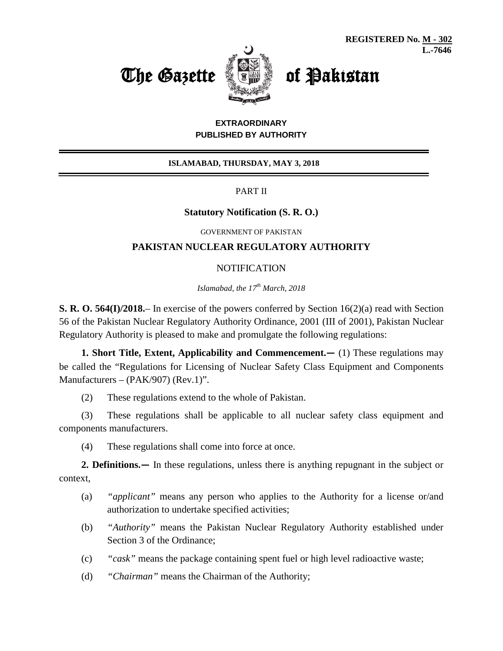



## **EXTRAORDINARY PUBLISHED BY AUTHORITY**

### **ISLAMABAD, THURSDAY, MAY 3, 2018**

PART II

## **Statutory Notification (S. R. O.)**

GOVERNMENT OF PAKISTAN

# **PAKISTAN NUCLEAR REGULATORY AUTHORITY**

### **NOTIFICATION**

*Islamabad, the 17th March, 2018*

**S. R. O. 564(I)/2018.**– In exercise of the powers conferred by Section 16(2)(a) read with Section 56 of the Pakistan Nuclear Regulatory Authority Ordinance, 2001 (III of 2001), Pakistan Nuclear Regulatory Authority is pleased to make and promulgate the following regulations:

**1. Short Title, Extent, Applicability and Commencement.—** (1) These regulations may be called the "Regulations for Licensing of Nuclear Safety Class Equipment and Components Manufacturers – (PAK/907) (Rev.1)".

(2) These regulations extend to the whole of Pakistan.

(3) These regulations shall be applicable to all nuclear safety class equipment and components manufacturers.

(4) These regulations shall come into force at once.

**2. Definitions.—** In these regulations, unless there is anything repugnant in the subject or context,

- (a) *"applicant"* means any person who applies to the Authority for a license or/and authorization to undertake specified activities;
- (b) *"Authority"* means the Pakistan Nuclear Regulatory Authority established under Section 3 of the Ordinance;
- (c) *"cask"* means the package containing spent fuel or high level radioactive waste;
- (d) *"Chairman"* means the Chairman of the Authority;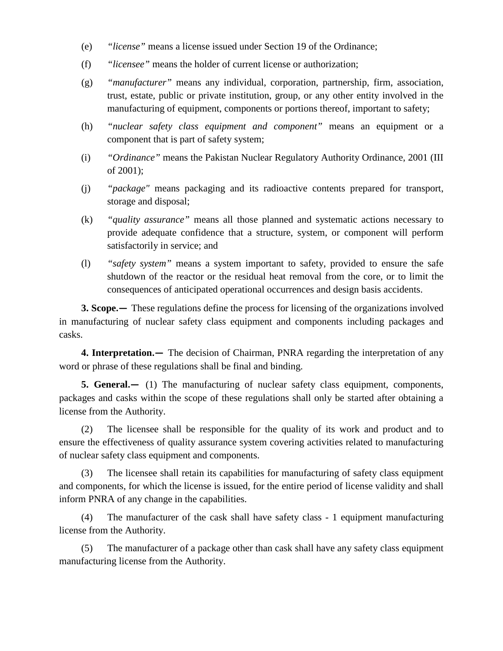- (e) *"license"* means a license issued under Section 19 of the Ordinance;
- (f) *"licensee"* means the holder of current license or authorization;
- (g) *"manufacturer"* means any individual, corporation, partnership, firm, association, trust, estate, public or private institution, group, or any other entity involved in the manufacturing of equipment, components or portions thereof, important to safety;
- (h) *"nuclear safety class equipment and component"* means an equipment or a component that is part of safety system;
- (i) *"Ordinance"* means the Pakistan Nuclear Regulatory Authority Ordinance, 2001 (III of 2001);
- (j) *"package"* means packaging and its radioactive contents prepared for transport, storage and disposal;
- (k) *"quality assurance"* means all those planned and systematic actions necessary to provide adequate confidence that a structure, system, or component will perform satisfactorily in service; and
- (l) *"safety system"* means a system important to safety, provided to ensure the safe shutdown of the reactor or the residual heat removal from the core, or to limit the consequences of anticipated operational occurrences and design basis accidents.

**3. Scope.—** These regulations define the process for licensing of the organizations involved in manufacturing of nuclear safety class equipment and components including packages and casks.

**4. Interpretation.—** The decision of Chairman, PNRA regarding the interpretation of any word or phrase of these regulations shall be final and binding.

**5. General.—** (1) The manufacturing of nuclear safety class equipment, components, packages and casks within the scope of these regulations shall only be started after obtaining a license from the Authority.

(2) The licensee shall be responsible for the quality of its work and product and to ensure the effectiveness of quality assurance system covering activities related to manufacturing of nuclear safety class equipment and components.

(3) The licensee shall retain its capabilities for manufacturing of safety class equipment and components, for which the license is issued, for the entire period of license validity and shall inform PNRA of any change in the capabilities.

(4) The manufacturer of the cask shall have safety class - 1 equipment manufacturing license from the Authority.

(5) The manufacturer of a package other than cask shall have any safety class equipment manufacturing license from the Authority.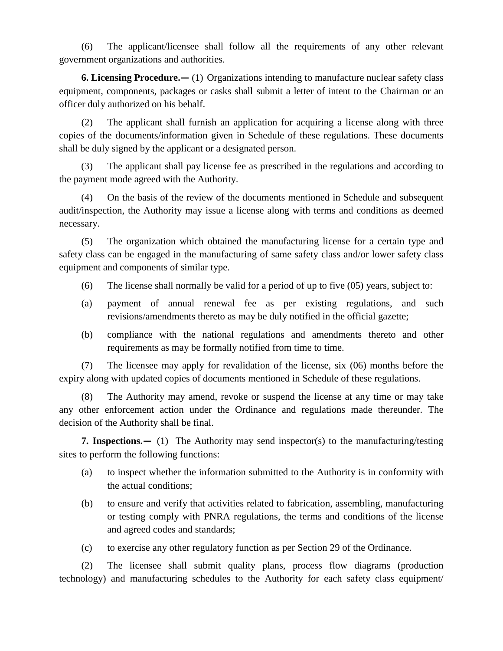(6) The applicant/licensee shall follow all the requirements of any other relevant government organizations and authorities.

**6. Licensing Procedure.—** (1) Organizations intending to manufacture nuclear safety class equipment, components, packages or casks shall submit a letter of intent to the Chairman or an officer duly authorized on his behalf.

(2) The applicant shall furnish an application for acquiring a license along with three copies of the documents/information given in Schedule of these regulations. These documents shall be duly signed by the applicant or a designated person.

(3) The applicant shall pay license fee as prescribed in the regulations and according to the payment mode agreed with the Authority.

(4) On the basis of the review of the documents mentioned in Schedule and subsequent audit/inspection, the Authority may issue a license along with terms and conditions as deemed necessary.

(5) The organization which obtained the manufacturing license for a certain type and safety class can be engaged in the manufacturing of same safety class and/or lower safety class equipment and components of similar type.

- (6) The license shall normally be valid for a period of up to five (05) years, subject to:
- (a) payment of annual renewal fee as per existing regulations, and such revisions/amendments thereto as may be duly notified in the official gazette;
- (b) compliance with the national regulations and amendments thereto and other requirements as may be formally notified from time to time.

(7) The licensee may apply for revalidation of the license, six (06) months before the expiry along with updated copies of documents mentioned in Schedule of these regulations.

(8) The Authority may amend, revoke or suspend the license at any time or may take any other enforcement action under the Ordinance and regulations made thereunder. The decision of the Authority shall be final.

**7. Inspections.—** (1) The Authority may send inspector(s) to the manufacturing/testing sites to perform the following functions:

- (a) to inspect whether the information submitted to the Authority is in conformity with the actual conditions;
- (b) to ensure and verify that activities related to fabrication, assembling, manufacturing or testing comply with PNRA regulations, the terms and conditions of the license and agreed codes and standards;
- (c) to exercise any other regulatory function as per Section 29 of the Ordinance.

(2) The licensee shall submit quality plans, process flow diagrams (production technology) and manufacturing schedules to the Authority for each safety class equipment/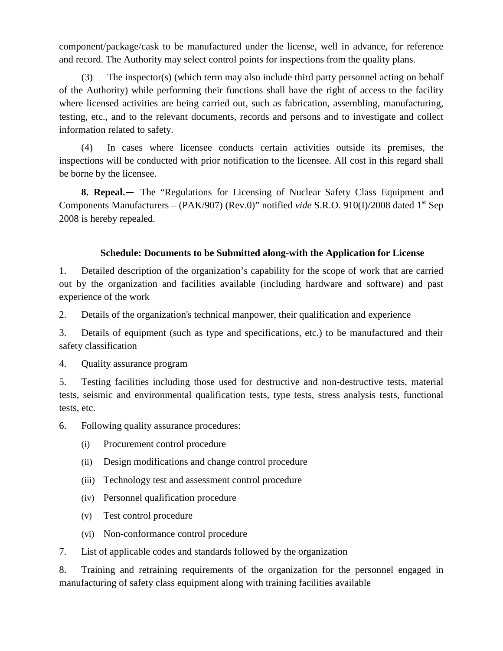component/package/cask to be manufactured under the license, well in advance, for reference and record. The Authority may select control points for inspections from the quality plans.

(3) The inspector(s) (which term may also include third party personnel acting on behalf of the Authority) while performing their functions shall have the right of access to the facility where licensed activities are being carried out, such as fabrication, assembling, manufacturing, testing, etc., and to the relevant documents, records and persons and to investigate and collect information related to safety.

(4) In cases where licensee conducts certain activities outside its premises, the inspections will be conducted with prior notification to the licensee. All cost in this regard shall be borne by the licensee.

**8. Repeal.—** The "Regulations for Licensing of Nuclear Safety Class Equipment and Components Manufacturers – (PAK/907) (Rev.0)" notified *vide* S.R.O. 910(I)/2008 dated 1<sup>st</sup> Sep 2008 is hereby repealed.

# **Schedule: Documents to be Submitted along-with the Application for License**

1. Detailed description of the organization's capability for the scope of work that are carried out by the organization and facilities available (including hardware and software) and past experience of the work

2. Details of the organization's technical manpower, their qualification and experience

3. Details of equipment (such as type and specifications, etc.) to be manufactured and their safety classification

4. Quality assurance program

5. Testing facilities including those used for destructive and non-destructive tests, material tests, seismic and environmental qualification tests, type tests, stress analysis tests, functional tests, etc.

6. Following quality assurance procedures:

- (i) Procurement control procedure
- (ii) Design modifications and change control procedure
- (iii) Technology test and assessment control procedure
- (iv) Personnel qualification procedure
- (v) Test control procedure
- (vi) Non-conformance control procedure
- 7. List of applicable codes and standards followed by the organization

8. Training and retraining requirements of the organization for the personnel engaged in manufacturing of safety class equipment along with training facilities available